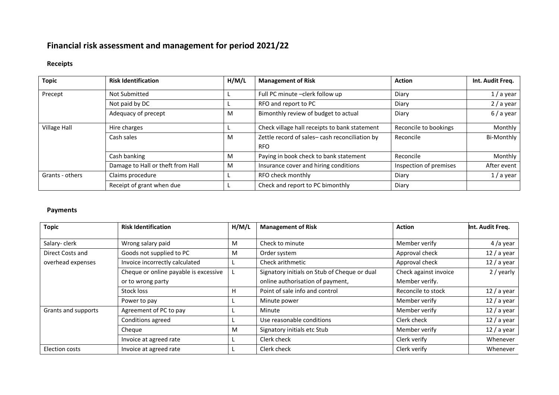## **Financial risk assessment and management for period 2021/22**

## **Receipts**

| <b>Topic</b>    | <b>Risk Identification</b>        | H/M/L | <b>Management of Risk</b>                                   | <b>Action</b>          | Int. Audit Freq. |
|-----------------|-----------------------------------|-------|-------------------------------------------------------------|------------------------|------------------|
| Precept         | Not Submitted                     |       | Full PC minute -clerk follow up                             | Diary                  | $1/a$ year       |
|                 | Not paid by DC                    |       | RFO and report to PC                                        | Diary                  | $2/$ a year      |
|                 | Adequacy of precept               | м     | Bimonthly review of budget to actual                        | Diary                  | 6/a year         |
| Village Hall    | Hire charges                      |       | Check village hall receipts to bank statement               | Reconcile to bookings  | Monthly          |
|                 | Cash sales                        | м     | Zettle record of sales-cash reconciliation by<br><b>RFO</b> | Reconcile              | Bi-Monthly       |
|                 | Cash banking                      | м     | Paying in book check to bank statement                      | Reconcile              | Monthly          |
|                 | Damage to Hall or theft from Hall | M     | Insurance cover and hiring conditions                       | Inspection of premises | After event      |
| Grants - others | Claims procedure                  |       | RFO check monthly                                           | Diary                  | $1/a$ year       |
|                 | Receipt of grant when due         |       | Check and report to PC bimonthly                            | Diary                  |                  |

## **Payments**

| <b>Topic</b>          | <b>Risk Identification</b>            | H/M/L | <b>Management of Risk</b>                    | <b>Action</b>         | Int. Audit Freq. |
|-----------------------|---------------------------------------|-------|----------------------------------------------|-----------------------|------------------|
|                       |                                       |       |                                              |                       |                  |
| Salary-clerk          | Wrong salary paid                     | M     | Check to minute                              | Member verify         | 4/a year         |
| Direct Costs and      | Goods not supplied to PC              | M     | Order system                                 | Approval check        | $12/$ a year     |
| overhead expenses     | Invoice incorrectly calculated        |       | Check arithmetic                             | Approval check        | $12/$ a year     |
|                       | Cheque or online payable is excessive |       | Signatory initials on Stub of Cheque or dual | Check against invoice | 2 / yearly       |
|                       | or to wrong party                     |       | online authorisation of payment,             | Member verify.        |                  |
|                       | Stock loss                            | н     | Point of sale info and control               | Reconcile to stock    | $12/$ a year     |
|                       | Power to pay                          |       | Minute power                                 | Member verify         | $12/$ a year     |
| Grants and supports   | Agreement of PC to pay                |       | Minute                                       | Member verify         | $12/$ a year     |
|                       | Conditions agreed                     |       | Use reasonable conditions                    | Clerk check           | $12/$ a year     |
|                       | Cheque                                | M     | Signatory initials etc Stub                  | Member verify         | 12 / a year      |
|                       | Invoice at agreed rate                |       | Clerk check                                  | Clerk verify          | Whenever         |
| <b>Election costs</b> | Invoice at agreed rate                |       | Clerk check                                  | Clerk verify          | Whenever         |